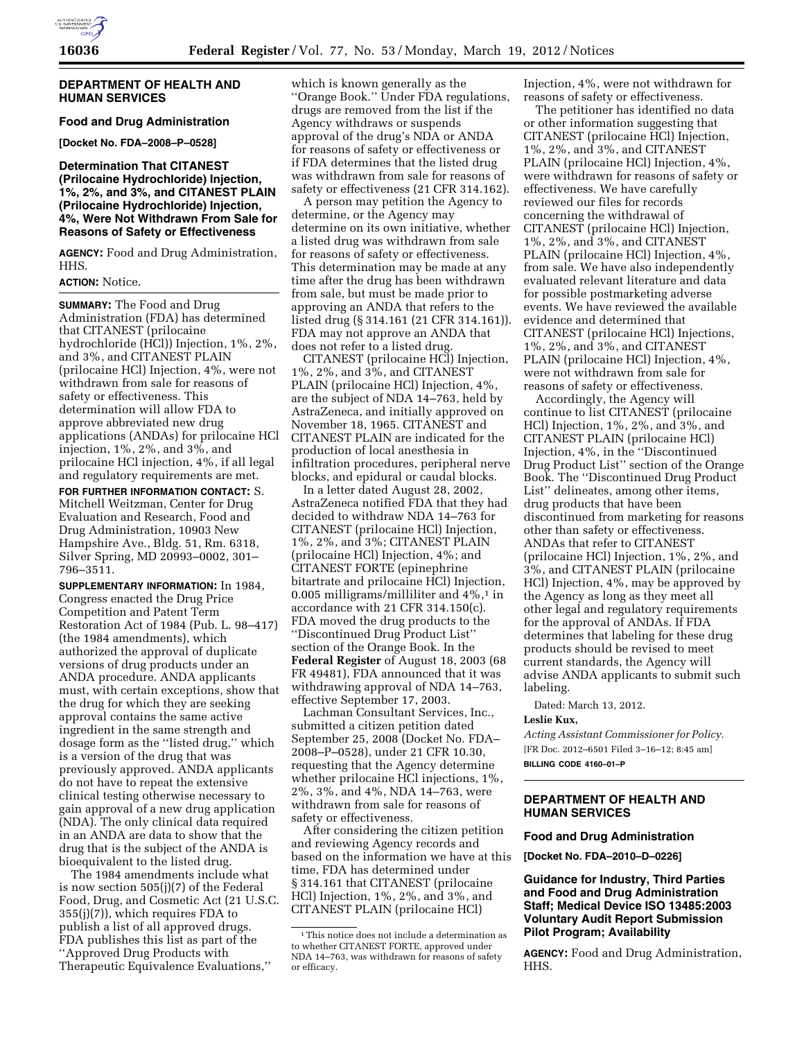

## **DEPARTMENT OF HEALTH AND HUMAN SERVICES**

**Food and Drug Administration [Docket No. FDA–2008–P–0528]** 

## **Determination That CITANEST (Prilocaine Hydrochloride) Injection, 1%, 2%, and 3%, and CITANEST PLAIN (Prilocaine Hydrochloride) Injection, 4%, Were Not Withdrawn From Sale for Reasons of Safety or Effectiveness**

**AGENCY:** Food and Drug Administration, HHS.

## **ACTION:** Notice.

**SUMMARY:** The Food and Drug Administration (FDA) has determined that CITANEST (prilocaine hydrochloride (HCl)) Injection, 1%, 2%, and 3%, and CITANEST PLAIN (prilocaine HCl) Injection, 4%, were not withdrawn from sale for reasons of safety or effectiveness. This determination will allow FDA to approve abbreviated new drug applications (ANDAs) for prilocaine HCl injection, 1%, 2%, and 3%, and prilocaine HCl injection, 4%, if all legal and regulatory requirements are met.

**FOR FURTHER INFORMATION CONTACT:** S. Mitchell Weitzman, Center for Drug Evaluation and Research, Food and Drug Administration, 10903 New Hampshire Ave., Bldg. 51, Rm. 6318, Silver Spring, MD 20993–0002, 301– 796–3511.

**SUPPLEMENTARY INFORMATION:** In 1984, Congress enacted the Drug Price Competition and Patent Term Restoration Act of 1984 (Pub. L. 98–417) (the 1984 amendments), which authorized the approval of duplicate versions of drug products under an ANDA procedure. ANDA applicants must, with certain exceptions, show that the drug for which they are seeking approval contains the same active ingredient in the same strength and dosage form as the ''listed drug,'' which is a version of the drug that was previously approved. ANDA applicants do not have to repeat the extensive clinical testing otherwise necessary to gain approval of a new drug application (NDA). The only clinical data required in an ANDA are data to show that the drug that is the subject of the ANDA is bioequivalent to the listed drug.

The 1984 amendments include what is now section 505(j)(7) of the Federal Food, Drug, and Cosmetic Act (21 U.S.C. 355(j)(7)), which requires FDA to publish a list of all approved drugs. FDA publishes this list as part of the ''Approved Drug Products with Therapeutic Equivalence Evaluations,''

which is known generally as the ''Orange Book.'' Under FDA regulations, drugs are removed from the list if the Agency withdraws or suspends approval of the drug's NDA or ANDA for reasons of safety or effectiveness or if FDA determines that the listed drug was withdrawn from sale for reasons of safety or effectiveness (21 CFR 314.162).

A person may petition the Agency to determine, or the Agency may determine on its own initiative, whether a listed drug was withdrawn from sale for reasons of safety or effectiveness. This determination may be made at any time after the drug has been withdrawn from sale, but must be made prior to approving an ANDA that refers to the listed drug (§ 314.161 (21 CFR 314.161)). FDA may not approve an ANDA that does not refer to a listed drug.

CITANEST (prilocaine HCl) Injection, 1%, 2%, and 3%, and CITANEST PLAIN (prilocaine HCl) Injection, 4%, are the subject of NDA 14–763, held by AstraZeneca, and initially approved on November 18, 1965. CITANEST and CITANEST PLAIN are indicated for the production of local anesthesia in infiltration procedures, peripheral nerve blocks, and epidural or caudal blocks.

In a letter dated August 28, 2002, AstraZeneca notified FDA that they had decided to withdraw NDA 14–763 for CITANEST (prilocaine HCl) Injection, 1%, 2%, and 3%; CITANEST PLAIN (prilocaine HCl) Injection, 4%; and CITANEST FORTE (epinephrine bitartrate and prilocaine HCl) Injection, 0.005 milligrams/milliliter and 4%,1 in accordance with 21 CFR 314.150(c). FDA moved the drug products to the ''Discontinued Drug Product List'' section of the Orange Book. In the **Federal Register** of August 18, 2003 (68 FR 49481), FDA announced that it was withdrawing approval of NDA 14–763, effective September 17, 2003.

Lachman Consultant Services, Inc., submitted a citizen petition dated September 25, 2008 (Docket No. FDA– 2008–P–0528), under 21 CFR 10.30, requesting that the Agency determine whether prilocaine HCl injections, 1%, 2%, 3%, and 4%, NDA 14–763, were withdrawn from sale for reasons of safety or effectiveness.

After considering the citizen petition and reviewing Agency records and based on the information we have at this time, FDA has determined under § 314.161 that CITANEST (prilocaine HCl) Injection, 1%, 2%, and 3%, and CITANEST PLAIN (prilocaine HCl)

Injection, 4%, were not withdrawn for reasons of safety or effectiveness.

The petitioner has identified no data or other information suggesting that CITANEST (prilocaine HCl) Injection, 1%, 2%, and 3%, and CITANEST PLAIN (prilocaine HCl) Injection, 4%, were withdrawn for reasons of safety or effectiveness. We have carefully reviewed our files for records concerning the withdrawal of CITANEST (prilocaine HCl) Injection, 1%, 2%, and 3%, and CITANEST PLAIN (prilocaine HCl) Injection, 4%, from sale. We have also independently evaluated relevant literature and data for possible postmarketing adverse events. We have reviewed the available evidence and determined that CITANEST (prilocaine HCl) Injections, 1%, 2%, and 3%, and CITANEST PLAIN (prilocaine HCl) Injection, 4%, were not withdrawn from sale for reasons of safety or effectiveness.

Accordingly, the Agency will continue to list CITANEST (prilocaine HCl) Injection, 1%, 2%, and 3%, and CITANEST PLAIN (prilocaine HCl) Injection, 4%, in the ''Discontinued Drug Product List'' section of the Orange Book. The ''Discontinued Drug Product List'' delineates, among other items, drug products that have been discontinued from marketing for reasons other than safety or effectiveness. ANDAs that refer to CITANEST (prilocaine HCl) Injection, 1%, 2%, and 3%, and CITANEST PLAIN (prilocaine HCl) Injection, 4%, may be approved by the Agency as long as they meet all other legal and regulatory requirements for the approval of ANDAs. If FDA determines that labeling for these drug products should be revised to meet current standards, the Agency will advise ANDA applicants to submit such labeling.

Dated: March 13, 2012.

#### **Leslie Kux,**

*Acting Assistant Commissioner for Policy.*  [FR Doc. 2012–6501 Filed 3–16–12; 8:45 am] **BILLING CODE 4160–01–P** 

## **DEPARTMENT OF HEALTH AND HUMAN SERVICES**

#### **Food and Drug Administration**

**[Docket No. FDA–2010–D–0226]** 

**Guidance for Industry, Third Parties and Food and Drug Administration Staff; Medical Device ISO 13485:2003 Voluntary Audit Report Submission Pilot Program; Availability** 

**AGENCY:** Food and Drug Administration, HHS.

<sup>1</sup>This notice does not include a determination as to whether CITANEST FORTE, approved under NDA 14–763, was withdrawn for reasons of safety or efficacy.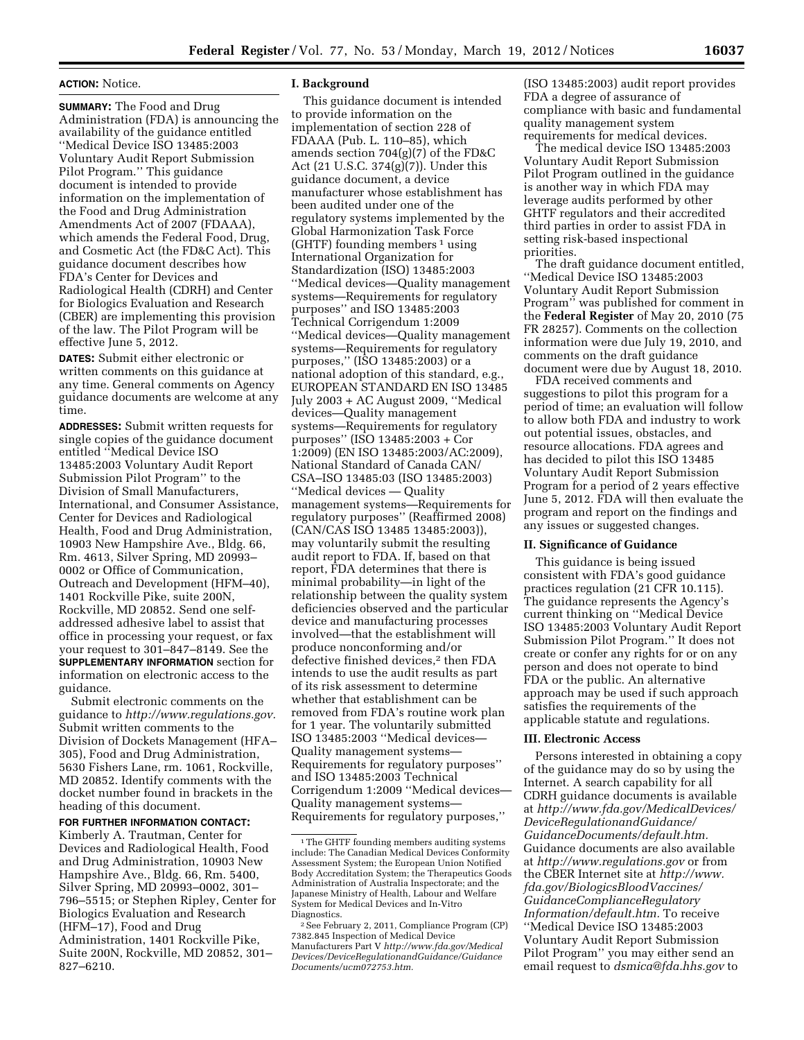#### **ACTION:** Notice.

**SUMMARY:** The Food and Drug Administration (FDA) is announcing the availability of the guidance entitled ''Medical Device ISO 13485:2003 Voluntary Audit Report Submission Pilot Program.'' This guidance document is intended to provide information on the implementation of the Food and Drug Administration Amendments Act of 2007 (FDAAA), which amends the Federal Food, Drug, and Cosmetic Act (the FD&C Act). This guidance document describes how FDA's Center for Devices and Radiological Health (CDRH) and Center for Biologics Evaluation and Research (CBER) are implementing this provision of the law. The Pilot Program will be effective June 5, 2012.

**DATES:** Submit either electronic or written comments on this guidance at any time. General comments on Agency guidance documents are welcome at any time.

**ADDRESSES:** Submit written requests for single copies of the guidance document entitled ''Medical Device ISO 13485:2003 Voluntary Audit Report Submission Pilot Program'' to the Division of Small Manufacturers, International, and Consumer Assistance, Center for Devices and Radiological Health, Food and Drug Administration, 10903 New Hampshire Ave., Bldg. 66, Rm. 4613, Silver Spring, MD 20993– 0002 or Office of Communication, Outreach and Development (HFM–40), 1401 Rockville Pike, suite 200N, Rockville, MD 20852. Send one selfaddressed adhesive label to assist that office in processing your request, or fax your request to 301–847–8149. See the **SUPPLEMENTARY INFORMATION** section for information on electronic access to the guidance.

Submit electronic comments on the guidance to *[http://www.regulations.gov.](http://www.regulations.gov)*  Submit written comments to the Division of Dockets Management (HFA– 305), Food and Drug Administration, 5630 Fishers Lane, rm. 1061, Rockville, MD 20852. Identify comments with the docket number found in brackets in the heading of this document.

## **FOR FURTHER INFORMATION CONTACT:**

Kimberly A. Trautman, Center for Devices and Radiological Health, Food and Drug Administration, 10903 New Hampshire Ave., Bldg. 66, Rm. 5400, Silver Spring, MD 20993–0002, 301– 796–5515; or Stephen Ripley, Center for Biologics Evaluation and Research (HFM–17), Food and Drug

Administration, 1401 Rockville Pike, Suite 200N, Rockville, MD 20852, 301– 827–6210.

#### **I. Background**

This guidance document is intended to provide information on the implementation of section 228 of FDAAA (Pub. L. 110–85), which amends section 704(g)(7) of the FD&C Act (21 U.S.C. 374(g)(7)). Under this guidance document, a device manufacturer whose establishment has been audited under one of the regulatory systems implemented by the Global Harmonization Task Force (GHTF) founding members  $1$  using International Organization for Standardization (ISO) 13485:2003 ''Medical devices—Quality management systems—Requirements for regulatory purposes'' and ISO 13485:2003 Technical Corrigendum 1:2009 ''Medical devices—Quality management systems—Requirements for regulatory purposes,'' (ISO 13485:2003) or a national adoption of this standard, e.g., EUROPEAN STANDARD EN ISO 13485 July 2003 + AC August 2009, ''Medical devices—Quality management systems—Requirements for regulatory purposes'' (ISO 13485:2003 + Cor 1:2009) (EN ISO 13485:2003/AC:2009), National Standard of Canada CAN/ CSA–ISO 13485:03 (ISO 13485:2003) ''Medical devices — Quality management systems—Requirements for regulatory purposes'' (Reaffirmed 2008) (CAN/CAS ISO 13485 13485:2003)), may voluntarily submit the resulting audit report to FDA. If, based on that report, FDA determines that there is minimal probability—in light of the relationship between the quality system deficiencies observed and the particular device and manufacturing processes involved—that the establishment will produce nonconforming and/or defective finished devices,<sup>2</sup> then FDA intends to use the audit results as part of its risk assessment to determine whether that establishment can be removed from FDA's routine work plan for 1 year. The voluntarily submitted ISO 13485:2003 ''Medical devices— Quality management systems— Requirements for regulatory purposes'' and ISO 13485:2003 Technical Corrigendum 1:2009 ''Medical devices— Quality management systems— Requirements for regulatory purposes,''

(ISO 13485:2003) audit report provides FDA a degree of assurance of compliance with basic and fundamental quality management system requirements for medical devices.

The medical device ISO 13485:2003 Voluntary Audit Report Submission Pilot Program outlined in the guidance is another way in which FDA may leverage audits performed by other GHTF regulators and their accredited third parties in order to assist FDA in setting risk-based inspectional priorities.

The draft guidance document entitled, ''Medical Device ISO 13485:2003 Voluntary Audit Report Submission Program'' was published for comment in the **Federal Register** of May 20, 2010 (75 FR 28257). Comments on the collection information were due July 19, 2010, and comments on the draft guidance document were due by August 18, 2010.

FDA received comments and suggestions to pilot this program for a period of time; an evaluation will follow to allow both FDA and industry to work out potential issues, obstacles, and resource allocations. FDA agrees and has decided to pilot this ISO 13485 Voluntary Audit Report Submission Program for a period of 2 years effective June 5, 2012. FDA will then evaluate the program and report on the findings and any issues or suggested changes.

## **II. Significance of Guidance**

This guidance is being issued consistent with FDA's good guidance practices regulation (21 CFR 10.115). The guidance represents the Agency's current thinking on ''Medical Device ISO 13485:2003 Voluntary Audit Report Submission Pilot Program.'' It does not create or confer any rights for or on any person and does not operate to bind FDA or the public. An alternative approach may be used if such approach satisfies the requirements of the applicable statute and regulations.

#### **III. Electronic Access**

Persons interested in obtaining a copy of the guidance may do so by using the Internet. A search capability for all CDRH guidance documents is available at *[http://www.fda.gov/MedicalDevices/](http://www.fda.gov/MedicalDevices/DeviceRegulationandGuidance/GuidanceDocuments/default.htm) [DeviceRegulationandGuidance/](http://www.fda.gov/MedicalDevices/DeviceRegulationandGuidance/GuidanceDocuments/default.htm) [GuidanceDocuments/default.htm.](http://www.fda.gov/MedicalDevices/DeviceRegulationandGuidance/GuidanceDocuments/default.htm)*  Guidance documents are also available at *<http://www.regulations.gov>* or from the CBER Internet site at *[http://www.](http://www.fda.gov/BiologicsBloodVaccines/GuidanceComplianceRegulatoryInformation/default.htm) [fda.gov/BiologicsBloodVaccines/](http://www.fda.gov/BiologicsBloodVaccines/GuidanceComplianceRegulatoryInformation/default.htm) [GuidanceComplianceRegulatory](http://www.fda.gov/BiologicsBloodVaccines/GuidanceComplianceRegulatoryInformation/default.htm) [Information/default.htm.](http://www.fda.gov/BiologicsBloodVaccines/GuidanceComplianceRegulatoryInformation/default.htm)* To receive ''Medical Device ISO 13485:2003 Voluntary Audit Report Submission Pilot Program'' you may either send an email request to *[dsmica@fda.hhs.gov](mailto:dsmica@fda.hhs.gov)* to

<sup>1</sup>The GHTF founding members auditing systems include: The Canadian Medical Devices Conformity Assessment System; the European Union Notified Body Accreditation System; the Therapeutics Goods Administration of Australia Inspectorate; and the Japanese Ministry of Health, Labour and Welfare System for Medical Devices and In-Vitro Diagnostics.

<sup>2</sup>See February 2, 2011, Compliance Program (CP) 7382.845 Inspection of Medical Device Manufacturers Part V *[http://www.fda.gov/Medical](http://www.fda.gov/MedicalDevices/DeviceRegulationandGuidance/GuidanceDocuments/ucm072753.htm) [Devices/DeviceRegulationandGuidance/Guidance](http://www.fda.gov/MedicalDevices/DeviceRegulationandGuidance/GuidanceDocuments/ucm072753.htm) [Documents/ucm072753.htm.](http://www.fda.gov/MedicalDevices/DeviceRegulationandGuidance/GuidanceDocuments/ucm072753.htm)*